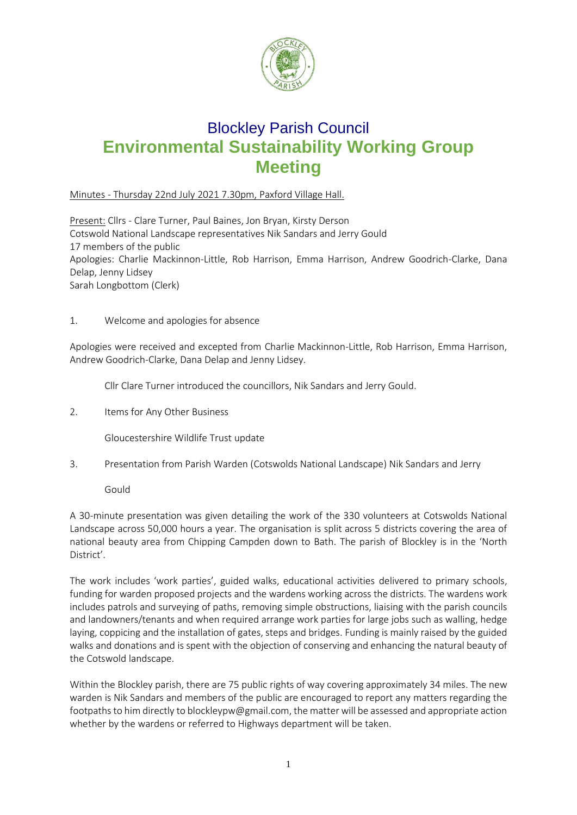

# Blockley Parish Council **Environmental Sustainability Working Group Meeting**

## Minutes - Thursday 22nd July 2021 7.30pm, Paxford Village Hall.

Present: Cllrs - Clare Turner, Paul Baines, Jon Bryan, Kirsty Derson Cotswold National Landscape representatives Nik Sandars and Jerry Gould 17 members of the public Apologies: Charlie Mackinnon-Little, Rob Harrison, Emma Harrison, Andrew Goodrich-Clarke, Dana Delap, Jenny Lidsey Sarah Longbottom (Clerk)

1. Welcome and apologies for absence

Apologies were received and excepted from Charlie Mackinnon-Little, Rob Harrison, Emma Harrison, Andrew Goodrich-Clarke, Dana Delap and Jenny Lidsey.

Cllr Clare Turner introduced the councillors, Nik Sandars and Jerry Gould.

2. Items for Any Other Business

Gloucestershire Wildlife Trust update

3. Presentation from Parish Warden (Cotswolds National Landscape) Nik Sandars and Jerry

Gould

A 30-minute presentation was given detailing the work of the 330 volunteers at Cotswolds National Landscape across 50,000 hours a year. The organisation is split across 5 districts covering the area of national beauty area from Chipping Campden down to Bath. The parish of Blockley is in the 'North District'.

The work includes 'work parties', guided walks, educational activities delivered to primary schools, funding for warden proposed projects and the wardens working across the districts. The wardens work includes patrols and surveying of paths, removing simple obstructions, liaising with the parish councils and landowners/tenants and when required arrange work parties for large jobs such as walling, hedge laying, coppicing and the installation of gates, steps and bridges. Funding is mainly raised by the guided walks and donations and is spent with the objection of conserving and enhancing the natural beauty of the Cotswold landscape.

Within the Blockley parish, there are 75 public rights of way covering approximately 34 miles. The new warden is Nik Sandars and members of the public are encouraged to report any matters regarding the footpaths to him directly to [blockleypw@gmail.com,](mailto:blockleypw@gmail.com) the matter will be assessed and appropriate action whether by the wardens or referred to Highways department will be taken.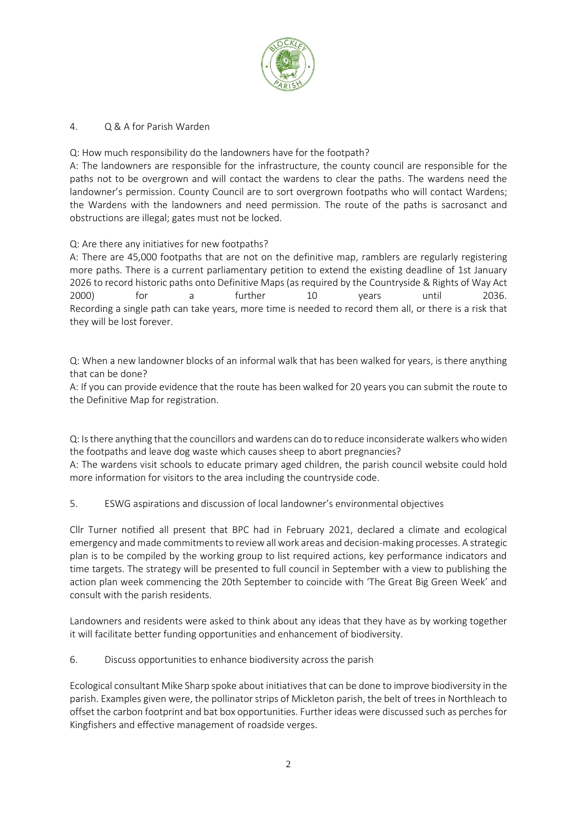

### 4. Q & A for Parish Warden

Q: How much responsibility do the landowners have for the footpath?

A: The landowners are responsible for the infrastructure, the county council are responsible for the paths not to be overgrown and will contact the wardens to clear the paths. The wardens need the landowner's permission. County Council are to sort overgrown footpaths who will contact Wardens; the Wardens with the landowners and need permission. The route of the paths is sacrosanct and obstructions are illegal; gates must not be locked.

Q: Are there any initiatives for new footpaths?

A: There are 45,000 footpaths that are not on the definitive map, ramblers are regularly registering more paths. There is a current parliamentary petition to extend the existing deadline of 1st January 2026 to record historic paths onto Definitive Maps (as required by the Countryside & Rights of Way Act 2000) for a further 10 years until 2036. Recording a single path can take years, more time is needed to record them all, or there is a risk that they will be lost forever.

Q: When a new landowner blocks of an informal walk that has been walked for years, is there anything that can be done?

A: If you can provide evidence that the route has been walked for 20 years you can submit the route to the Definitive Map for registration.

Q: Is there anything that the councillors and wardens can do to reduce inconsiderate walkers who widen the footpaths and leave dog waste which causes sheep to abort pregnancies?

A: The wardens visit schools to educate primary aged children, the parish council website could hold more information for visitors to the area including the countryside code.

5. ESWG aspirations and discussion of local landowner's environmental objectives

Cllr Turner notified all present that BPC had in February 2021, declared a climate and ecological emergency and made commitments to review all work areas and decision-making processes. A strategic plan is to be compiled by the working group to list required actions, key performance indicators and time targets. The strategy will be presented to full council in September with a view to publishing the action plan week commencing the 20th September to coincide with 'The Great Big Green Week' and consult with the parish residents.

Landowners and residents were asked to think about any ideas that they have as by working together it will facilitate better funding opportunities and enhancement of biodiversity.

6. Discuss opportunities to enhance biodiversity across the parish

Ecological consultant Mike Sharp spoke about initiatives that can be done to improve biodiversity in the parish. Examples given were, the pollinator strips of Mickleton parish, the belt of trees in Northleach to offset the carbon footprint and bat box opportunities. Further ideas were discussed such as perches for Kingfishers and effective management of roadside verges.